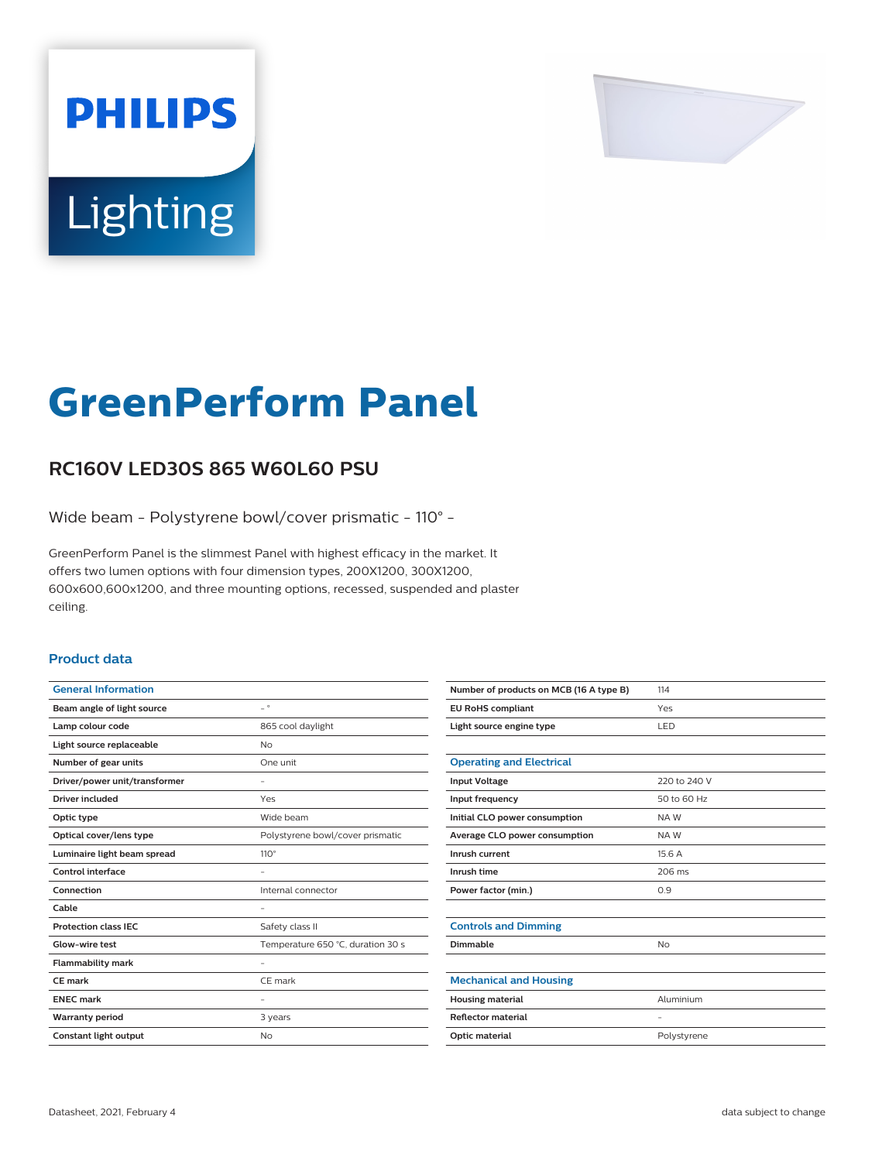

# Lighting

**PHILIPS** 

# **GreenPerform Panel**

## **RC160V LED30S 865 W60L60 PSU**

Wide beam - Polystyrene bowl/cover prismatic - 110° -

GreenPerform Panel is the slimmest Panel with highest efficacy in the market. It offers two lumen options with four dimension types, 200X1200, 300X1200, 600x600,600x1200, and three mounting options, recessed, suspended and plaster ceiling.

#### **Product data**

| <b>General Information</b>    |                                   |
|-------------------------------|-----------------------------------|
| Beam angle of light source    | $\overline{\phantom{0}}$          |
| Lamp colour code              | 865 cool daylight                 |
| Light source replaceable      | No                                |
| Number of gear units          | One unit                          |
| Driver/power unit/transformer |                                   |
| Driver included               | Yes                               |
| Optic type                    | Wide beam                         |
| Optical cover/lens type       | Polystyrene bowl/cover prismatic  |
| Luminaire light beam spread   | $110^\circ$                       |
| Control interface             |                                   |
| Connection                    | Internal connector                |
| Cable                         |                                   |
| <b>Protection class IEC</b>   | Safety class II                   |
| Glow-wire test                | Temperature 650 °C, duration 30 s |
| <b>Flammability mark</b>      |                                   |
| CE mark                       | CE mark                           |
| <b>ENEC mark</b>              |                                   |
| <b>Warranty period</b>        | 3 years                           |
| Constant light output         | <b>No</b>                         |
|                               |                                   |

| Number of products on MCB (16 A type B) | 114          |
|-----------------------------------------|--------------|
| <b>EU RoHS compliant</b>                | Yes          |
| Light source engine type                | LED          |
|                                         |              |
| <b>Operating and Electrical</b>         |              |
| <b>Input Voltage</b>                    | 220 to 240 V |
| Input frequency                         | 50 to 60 Hz  |
| Initial CLO power consumption           | NAW          |
| Average CLO power consumption           | NAW          |
| Inrush current                          | 15.6A        |
| Inrush time                             | 206 ms       |
| Power factor (min.)                     | 0.9          |
|                                         |              |
| <b>Controls and Dimming</b>             |              |
| Dimmable                                | <b>No</b>    |
|                                         |              |
| <b>Mechanical and Housing</b>           |              |
| <b>Housing material</b>                 | Aluminium    |
| <b>Reflector material</b>               | -            |
| <b>Optic material</b>                   | Polystyrene  |
|                                         |              |